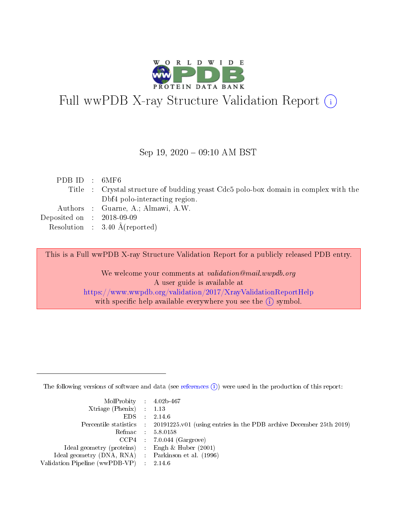

# Full wwPDB X-ray Structure Validation Report (i)

#### Sep 19,  $2020 - 09:10$  AM BST

| PDBID : 6MF6                |                                                                                     |
|-----------------------------|-------------------------------------------------------------------------------------|
|                             | Title : Crystal structure of budding yeast Cdc5 polo-box domain in complex with the |
|                             | Dbf4 polo-interacting region.                                                       |
|                             | Authors : Guarne, A.; Almawi, A.W.                                                  |
| Deposited on : $2018-09-09$ |                                                                                     |
|                             | Resolution : $3.40 \text{ Å}$ (reported)                                            |

This is a Full wwPDB X-ray Structure Validation Report for a publicly released PDB entry.

We welcome your comments at validation@mail.wwpdb.org A user guide is available at <https://www.wwpdb.org/validation/2017/XrayValidationReportHelp> with specific help available everywhere you see the  $(i)$  symbol.

The following versions of software and data (see [references](https://www.wwpdb.org/validation/2017/XrayValidationReportHelp#references)  $(i)$ ) were used in the production of this report:

| $MolProbability$ 4.02b-467                          |                             |                                                                                            |
|-----------------------------------------------------|-----------------------------|--------------------------------------------------------------------------------------------|
| $Xtriangle (Phenix)$ : 1.13                         |                             |                                                                                            |
| EDS -                                               |                             | 2.14.6                                                                                     |
|                                                     |                             | Percentile statistics : 20191225.v01 (using entries in the PDB archive December 25th 2019) |
|                                                     |                             | Refmac : 5.8.0158                                                                          |
|                                                     |                             | $CCP4$ : 7.0.044 (Gargrove)                                                                |
| Ideal geometry (proteins) : Engh $\&$ Huber (2001)  |                             |                                                                                            |
| Ideal geometry (DNA, RNA) : Parkinson et al. (1996) |                             |                                                                                            |
| Validation Pipeline (wwPDB-VP)                      | $\mathcal{A}^{\mathcal{A}}$ | 2.14.6                                                                                     |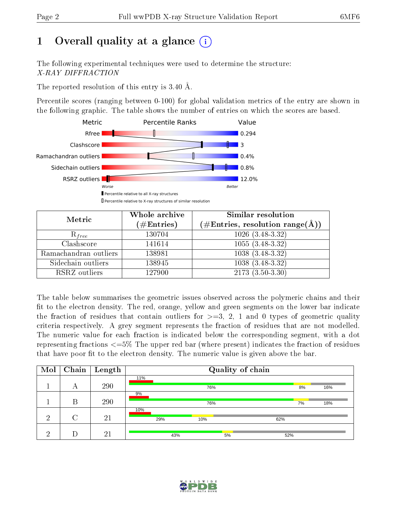# 1 [O](https://www.wwpdb.org/validation/2017/XrayValidationReportHelp#overall_quality)verall quality at a glance  $(i)$

The following experimental techniques were used to determine the structure: X-RAY DIFFRACTION

The reported resolution of this entry is 3.40 Å.

Percentile scores (ranging between 0-100) for global validation metrics of the entry are shown in the following graphic. The table shows the number of entries on which the scores are based.



| Metric                | Whole archive<br>$(\#\text{Entries})$ | Similar resolution<br>$(\#\text{Entries}, \text{resolution range}(\text{\AA}))$ |
|-----------------------|---------------------------------------|---------------------------------------------------------------------------------|
| $R_{free}$            | 130704                                | $1026(3.48-3.32)$                                                               |
| Clashscore            | 141614                                | $1055(3.48-3.32)$                                                               |
| Ramachandran outliers | 138981                                | $1038(3.48-3.32)$                                                               |
| Sidechain outliers    | 138945                                | $1038(3.48-3.32)$                                                               |
| RSRZ outliers         | 127900                                | $2173(3.50-3.30)$                                                               |

The table below summarises the geometric issues observed across the polymeric chains and their fit to the electron density. The red, orange, yellow and green segments on the lower bar indicate the fraction of residues that contain outliers for  $>=$  3, 2, 1 and 0 types of geometric quality criteria respectively. A grey segment represents the fraction of residues that are not modelled. The numeric value for each fraction is indicated below the corresponding segment, with a dot representing fractions  $\epsilon=5\%$  The upper red bar (where present) indicates the fraction of residues that have poor fit to the electron density. The numeric value is given above the bar.

| Mol | Chain  | $\perp$ Length |     |     |     | Quality of chain |     |    |     |
|-----|--------|----------------|-----|-----|-----|------------------|-----|----|-----|
|     | А      | 290            | 11% |     | 76% |                  |     | 8% | 16% |
|     | В      | 290            | 9%  |     | 76% |                  |     | 7% | 18% |
| ച   | $\cap$ | 21             | 10% | 29% | 10% |                  | 62% |    |     |
|     |        | 21             |     | 43% |     | 5%               | 52% |    |     |

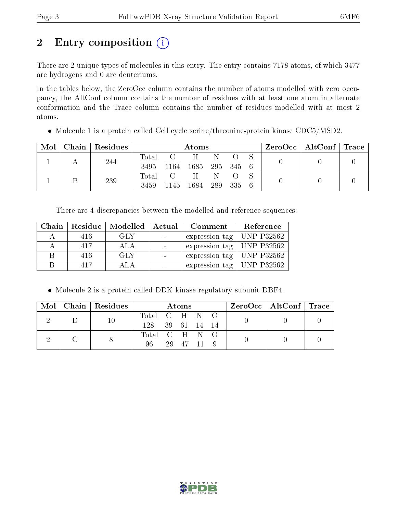# 2 Entry composition (i)

There are 2 unique types of molecules in this entry. The entry contains 7178 atoms, of which 3477 are hydrogens and 0 are deuteriums.

In the tables below, the ZeroOcc column contains the number of atoms modelled with zero occupancy, the AltConf column contains the number of residues with at least one atom in alternate conformation and the Trace column contains the number of residues modelled with at most 2 atoms.

Molecule 1 is a protein called Cell cycle serine/threonine-protein kinase CDC5/MSD2.

| Mol |     | Chain   Residues |                     | Atoms           |                   |         |  |  |  | $\rm ZeroOcc \mid AltConf \mid Trace$ |  |
|-----|-----|------------------|---------------------|-----------------|-------------------|---------|--|--|--|---------------------------------------|--|
|     |     |                  |                     | Total C H N O S |                   |         |  |  |  |                                       |  |
|     | 244 | 3495             | 1164 1685 295 345 6 |                 |                   |         |  |  |  |                                       |  |
|     |     | 239              |                     | Total C         | $H$ and $H$       | $N = Q$ |  |  |  |                                       |  |
|     |     |                  | 3459                |                 | 1145 1684 289 335 |         |  |  |  |                                       |  |

There are 4 discrepancies between the modelled and reference sequences:

| Chain |     | Residue   Modelled | Actual | Comment                     | Reference         |
|-------|-----|--------------------|--------|-----------------------------|-------------------|
|       | 416 | GLY                |        | expression tag              | <b>UNP P32562</b> |
|       | 417 | ALA                |        | expression tag   UNP P32562 |                   |
| R     | 416 | GLY                |        | expression tag   UNP P32562 |                   |
|       | 417 | ALA                |        | expression tag              | UNP P32562        |

Molecule 2 is a protein called DDK kinase regulatory subunit DBF4.

|  | Mol   Chain   Residues | Atoms                            |  |          |  | ZeroOcc   AltConf   Trace |  |  |
|--|------------------------|----------------------------------|--|----------|--|---------------------------|--|--|
|  | 10                     | Total C H N O<br>128 39 61 14 14 |  |          |  |                           |  |  |
|  |                        | Total C H N O<br>96.             |  | 29 47 11 |  |                           |  |  |

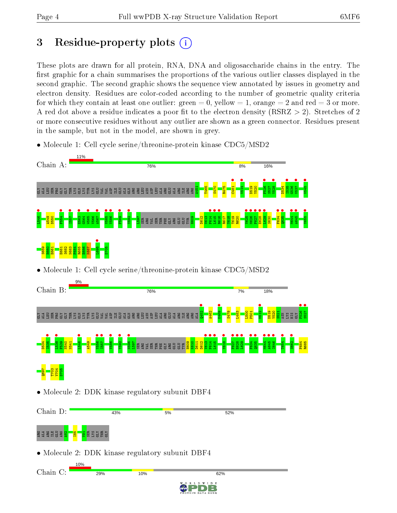# 3 Residue-property plots  $(i)$

These plots are drawn for all protein, RNA, DNA and oligosaccharide chains in the entry. The first graphic for a chain summarises the proportions of the various outlier classes displayed in the second graphic. The second graphic shows the sequence view annotated by issues in geometry and electron density. Residues are color-coded according to the number of geometric quality criteria for which they contain at least one outlier: green  $= 0$ , yellow  $= 1$ , orange  $= 2$  and red  $= 3$  or more. A red dot above a residue indicates a poor fit to the electron density ( $\text{RSRZ} > 2$ ). Stretches of 2 or more consecutive residues without any outlier are shown as a green connector. Residues present in the sample, but not in the model, are shown in grey.

• Molecule 1: Cell cycle serine/threonine-protein kinase CDC5/MSD2

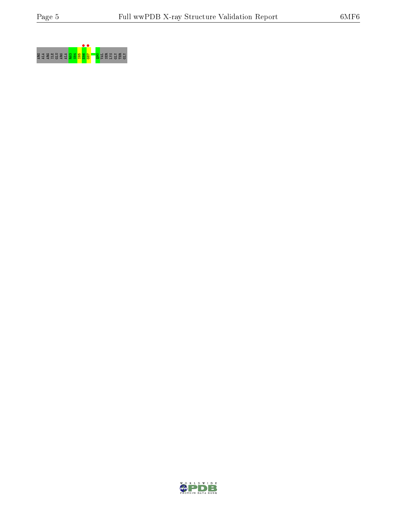

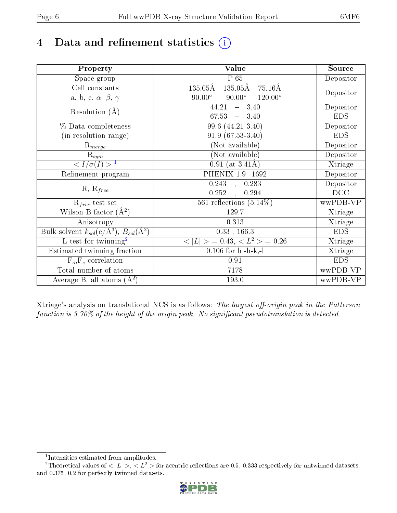# 4 Data and refinement statistics  $(i)$

| Property                                                   | <b>Value</b>                                                   | Source     |
|------------------------------------------------------------|----------------------------------------------------------------|------------|
| Space group                                                | $P_65$                                                         | Depositor  |
| Cell constants                                             | $135.05\text{\AA}$<br>$135.05\text{\AA}$<br>$-75.16\text{\AA}$ |            |
| a, b, c, $\alpha$ , $\beta$ , $\gamma$                     | $120.00^{\circ}$<br>$90.00^\circ$<br>$90.00^\circ$             | Depositor  |
| Resolution $(A)$                                           | 44.21<br>$-3.40$                                               | Depositor  |
|                                                            | 67.53<br>$-3.40$                                               | <b>EDS</b> |
| % Data completeness                                        | 99.6 (44.21-3.40)                                              | Depositor  |
| (in resolution range)                                      | $91.9(67.53-3.40)$                                             | <b>EDS</b> |
| $R_{merge}$                                                | (Not available)                                                | Depositor  |
| $\mathrm{R}_{sym}$                                         | (Not available)                                                | Depositor  |
| $\langle I/\sigma(I) \rangle^{-1}$                         | $0.91$ (at $3.41\text{\AA}$ )                                  | Xtriage    |
| Refinement program                                         | PHENIX 1.9 1692                                                | Depositor  |
|                                                            | $\overline{0.243}$ ,<br>0.283                                  | Depositor  |
| $R, R_{free}$                                              | 0.252<br>0.294<br>$\ddot{\phantom{a}}$                         | DCC        |
| $R_{free}$ test set                                        | 561 reflections $(5.14\%)$                                     | wwPDB-VP   |
| Wilson B-factor $(A^2)$                                    | 129.7                                                          | Xtriage    |
| Anisotropy                                                 | 0.313                                                          | Xtriage    |
| Bulk solvent $k_{sol}$ (e/Å <sup>3</sup> ), $B_{sol}(A^2)$ | $0.33$ , 166.3                                                 | <b>EDS</b> |
| $\overline{L}$ -test for twinning <sup>2</sup>             | $< L >$ = 0.43, $< L2$ = 0.26                                  | Xtriage    |
| Estimated twinning fraction                                | $0.106$ for h,-h-k,-l                                          | Xtriage    |
| $F_o, F_c$ correlation                                     | 0.91                                                           | <b>EDS</b> |
| Total number of atoms                                      | 7178                                                           | wwPDB-VP   |
| Average B, all atoms $(A^2)$                               | 193.0                                                          | wwPDB-VP   |

Xtriage's analysis on translational NCS is as follows: The largest off-origin peak in the Patterson function is  $3.70\%$  of the height of the origin peak. No significant pseudotranslation is detected.

<sup>&</sup>lt;sup>2</sup>Theoretical values of  $\langle |L| \rangle$ ,  $\langle L^2 \rangle$  for acentric reflections are 0.5, 0.333 respectively for untwinned datasets, and 0.375, 0.2 for perfectly twinned datasets.



<span id="page-5-1"></span><span id="page-5-0"></span><sup>1</sup> Intensities estimated from amplitudes.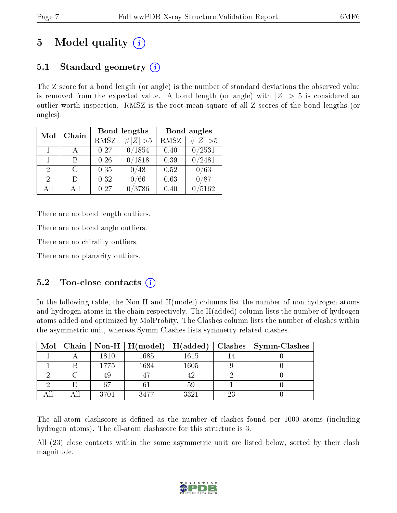# 5 Model quality  $(i)$

# 5.1 Standard geometry  $\overline{()}$

The Z score for a bond length (or angle) is the number of standard deviations the observed value is removed from the expected value. A bond length (or angle) with  $|Z| > 5$  is considered an outlier worth inspection. RMSZ is the root-mean-square of all Z scores of the bond lengths (or angles).

| Mol                         | Chain |      | Bond lengths | Bond angles |             |  |
|-----------------------------|-------|------|--------------|-------------|-------------|--|
|                             |       | RMSZ | $\# Z  > 5$  | RMSZ        | $\ Z\  > 5$ |  |
| $\mathbf{1}$                |       | 0.27 | 0/1854       | 0.40        | 0/2531      |  |
| 1                           | R     | 0.26 | 0/1818       | 0.39        | /2481       |  |
| $\mathcal{D}_{\mathcal{L}}$ | C     | 0.35 | 0/48         | 0.52        | 0/63        |  |
| $\mathcal{D}$               | Ð     | 0.32 | 0/66         | 0.63        | 0/87        |  |
| АH                          | ΑH    | 0.27 | 3786         | 0.40        | 5162        |  |

There are no bond length outliers.

There are no bond angle outliers.

There are no chirality outliers.

There are no planarity outliers.

## 5.2 Too-close contacts  $\overline{()}$

In the following table, the Non-H and H(model) columns list the number of non-hydrogen atoms and hydrogen atoms in the chain respectively. The H(added) column lists the number of hydrogen atoms added and optimized by MolProbity. The Clashes column lists the number of clashes within the asymmetric unit, whereas Symm-Clashes lists symmetry related clashes.

| $\text{Mol}$ |      | $\mid$ Chain $\mid$ Non-H $\mid$ H(model) $\mid$ | $\vert$ H(added) | Clashes | $\vert$ Symm-Clashes |
|--------------|------|--------------------------------------------------|------------------|---------|----------------------|
|              | 1810 | 1685                                             | 1615             |         |                      |
|              | 1775 | $1684\,$                                         | 1605             |         |                      |
|              |      |                                                  |                  |         |                      |
|              |      |                                                  |                  |         |                      |
|              | 3701 | 3477                                             | 3321             | -23     |                      |

The all-atom clashscore is defined as the number of clashes found per 1000 atoms (including hydrogen atoms). The all-atom clashscore for this structure is 3.

All (23) close contacts within the same asymmetric unit are listed below, sorted by their clash magnitude.

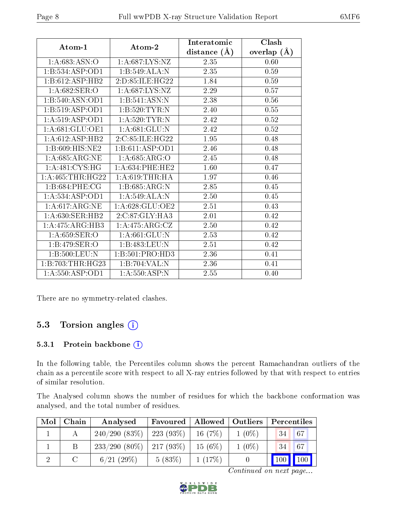|                      |                   | Interatomic    | Clash         |
|----------------------|-------------------|----------------|---------------|
| Atom-1               | Atom-2            | distance $(A)$ | overlap $(A)$ |
| 1:A:683:ASN:O        | 1: A:687: LYS: NZ | 2.35           | 0.60          |
| 1:B:534:ASP:OD1      | 1:B:549:ALA:N     | 2.35           | 0.59          |
| 1:B:612:ASP:HB2      | 2:D:85:ILE:HG22   | 1.84           | 0.59          |
| 1:A:682:SER:O        | 1: A:687:LYS:NZ   | 2.29           | 0.57          |
| 1:B:540:ASN:OD1      | 1:B:541:ASN:N     | 2.38           | $0.56\,$      |
| 1:B:519:ASP:OD1      | 1:B:520:TYR:N     | 2.40           | 0.55          |
| 1:A:519:ASP:OD1      | 1: A:520: TYR:N   | 2.42           | 0.52          |
| 1: A:681: GLU:OE1    | 1: A:681: GLU:N   | 2.42           | 0.52          |
| 1:A:612:ASP:HB2      | 2:C:85:ILE:HG22   | 1.95           | 0.48          |
| 1: B:609:HIS:NE2     | 1:B:611:ASP:OD1   | 2.46           | 0.48          |
| 1: A:685: ARG:NE     | 1: A:685: ARG:O   | 2.45           | 0.48          |
| 1: A:481: CYS:HG     | 1: A:634:PHE:HE2  | 1.60           | 0.47          |
| 1: A: 465: THR: HG22 | 1: A:619:THR:HA   | 1.97           | 0.46          |
| 1:B:684:PHE:CG       | 1:B:685:ARG:N     | 2.85           | 0.45          |
| 1:A:534:ASP:OD1      | 1:A:549:ALA:N     | 2.50           | 0.45          |
| 1: A:617: ARG: NE    | 1: A:628: GLU:OE2 | 2.51           | 0.43          |
| 1: A:630: SER: HB2   | 2:C:87:GLY:HA3    | 2.01           | 0.42          |
| 1:A:475:ARG:HB3      | 1:A:475:ARG:CZ    | 2.50           | 0.42          |
| 1: A:659: SER:O      | 1: A:661: GLU: N  | 2.53           | 0.42          |
| 1:B:479:SER:O        | 1:B:483:LEU:N     | 2.51           | 0.42          |
| 1:B:500:LEU:N        | 1:B:501:PRO:HD3   | 2.36           | 0.41          |
| 1:B:703:THR:HG23     | 1:B:704:VAL:N     | 2.36           | 0.41          |
| 1: A: 550: ASP: OD1  | 1: A:550:ASP:N    | 2.55           | 0.40          |

There are no symmetry-related clashes.

## 5.3 Torsion angles (i)

#### 5.3.1 Protein backbone (i)

In the following table, the Percentiles column shows the percent Ramachandran outliers of the chain as a percentile score with respect to all X-ray entries followed by that with respect to entries of similar resolution.

The Analysed column shows the number of residues for which the backbone conformation was analysed, and the total number of residues.

| Mol | Chain | Analysed        | Favoured     | Allowed   | <b>Outliers</b> | Percentiles      |               |
|-----|-------|-----------------|--------------|-----------|-----------------|------------------|---------------|
|     |       | 240/290(83%)    | 223(93%)     | 16(7%)    | $1(0\%)$        | 34               | 67            |
|     |       | $233/290(80\%)$ | $ 217(93\%)$ | $15(6\%)$ | $1(0\%)$        | 134 <sup>7</sup> | 67            |
|     |       | 6/21(29%)       | 5(83%)       | 1(17%)    |                 | 100              | $\boxed{100}$ |

Continued on next page...

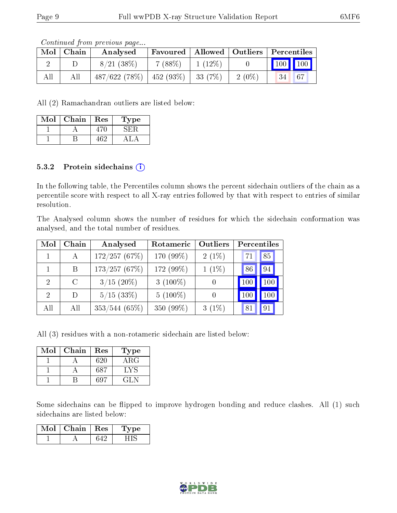Continued from previous page...

| Mol | Chain | Analysed     | Favoured   Allowed   Outliers   Percentiles |           |          |                                 |    |
|-----|-------|--------------|---------------------------------------------|-----------|----------|---------------------------------|----|
|     |       | 8/21(38%)    | $7(88\%)$                                   | $1(12\%)$ |          | $\vert$ 100 $\vert$ 100 $\vert$ |    |
| All | Αll   | 487/622(78%) | $152(93\%)$                                 | 33 (7\%)  | $2(0\%)$ | 34                              | 67 |

All (2) Ramachandran outliers are listed below:

| Mol | Chain | Res  | Type |
|-----|-------|------|------|
|     |       | 470. | : н  |
|     |       | 462. |      |

#### 5.3.2 Protein sidechains  $(i)$

In the following table, the Percentiles column shows the percent sidechain outliers of the chain as a percentile score with respect to all X-ray entries followed by that with respect to entries of similar resolution.

The Analysed column shows the number of residues for which the sidechain conformation was analysed, and the total number of residues.

| Mol                         | Chain | Analysed        | Rotameric   | Outliers | Percentiles |         |
|-----------------------------|-------|-----------------|-------------|----------|-------------|---------|
|                             |       | 172/257(67%)    | 170 (99%)   | $2(1\%)$ | 71          | 85      |
|                             | Β     | 173/257(67%)    | 172 (99%)   | $1(1\%)$ | 86          | 94      |
| $\mathcal{D}_{\mathcal{L}}$ | C     | $3/15$ (20%)    | 3 $(100\%)$ |          | 100         | 100     |
| $\mathcal{D}$               | D     | $5/15$ (33\%)   | $5(100\%)$  |          | 100         | $100\,$ |
| All                         | All   | $353/544(65\%)$ | 350 (99%)   | $3(1\%)$ |             | 91      |

All (3) residues with a non-rotameric sidechain are listed below:

| Mol | Chain | Res | Type              |
|-----|-------|-----|-------------------|
|     |       | 620 | $\rm{ARG}$        |
|     |       | 687 | $+V^{\mathsf{C}}$ |
|     |       |     | 12 L.             |

Some sidechains can be flipped to improve hydrogen bonding and reduce clashes. All (1) such sidechains are listed below:

| Mol | Chain | $+$ Res $+$ | vpe |
|-----|-------|-------------|-----|
|     |       |             |     |

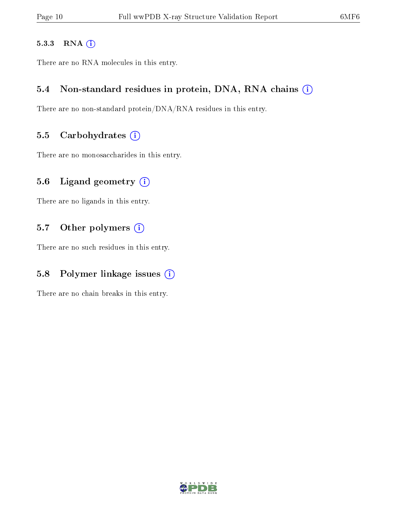#### 5.3.3 RNA [O](https://www.wwpdb.org/validation/2017/XrayValidationReportHelp#rna)i

There are no RNA molecules in this entry.

### 5.4 Non-standard residues in protein, DNA, RNA chains (i)

There are no non-standard protein/DNA/RNA residues in this entry.

#### 5.5 Carbohydrates  $(i)$

There are no monosaccharides in this entry.

### 5.6 Ligand geometry (i)

There are no ligands in this entry.

### 5.7 [O](https://www.wwpdb.org/validation/2017/XrayValidationReportHelp#nonstandard_residues_and_ligands)ther polymers (i)

There are no such residues in this entry.

## 5.8 Polymer linkage issues  $(i)$

There are no chain breaks in this entry.

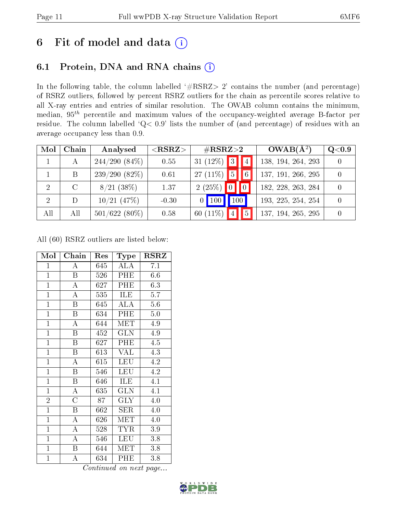# 6 Fit of model and data  $(i)$

## 6.1 Protein, DNA and RNA chains  $(i)$

In the following table, the column labelled  $#RSRZ> 2'$  contains the number (and percentage) of RSRZ outliers, followed by percent RSRZ outliers for the chain as percentile scores relative to all X-ray entries and entries of similar resolution. The OWAB column contains the minimum, median,  $95<sup>th</sup>$  percentile and maximum values of the occupancy-weighted average B-factor per residue. The column labelled ' $Q< 0.9$ ' lists the number of (and percentage) of residues with an average occupancy less than 0.9.

| Mol            | Chain | Analysed        | ${ <\hspace{-1.5pt}{\mathrm{RSRZ}} \hspace{-1.5pt}>}$ | $\rm \#RSRZ{>}2$      |                     |                 | $OWAB(A^2)$        | Q <sub>0.9</sub> |
|----------------|-------|-----------------|-------------------------------------------------------|-----------------------|---------------------|-----------------|--------------------|------------------|
|                | А     | $244/290(84\%)$ | 0.55                                                  | 31 $(12\%)$ 3         |                     | $\vert 4 \vert$ | 138, 194, 264, 293 |                  |
|                | B     | $239/290(82\%)$ | 0.61                                                  | 27 (11\%) $\boxed{5}$ |                     | 6 <sup>1</sup>  | 137, 191, 266, 295 | $\Omega$         |
| 2              |       | $8/21$ (38\%)   | 1.37                                                  | 2(25%)                |                     |                 | 182, 228, 263, 284 | $\Omega$         |
| $\overline{2}$ | D     | $10/21$ $(47%)$ | $-0.30$                                               | $\vert$ 100           | $\vert$ 100 $\vert$ |                 | 193, 225, 254, 254 | $\Omega$         |
| All            | All   | $501/622(80\%)$ | 0.58                                                  | 60 $(11\%)$           | $\vert 4 \vert$     | 5               | 137, 194, 265, 295 |                  |

All (60) RSRZ outliers are listed below:

| Mol            | ${\bf Chain}$           | Res | Type       | $_{\rm RSRZ}$ |
|----------------|-------------------------|-----|------------|---------------|
| $\mathbf{1}$   | A                       | 645 | ALA        | 7.1           |
| $\mathbf{1}$   | $\boldsymbol{B}$        | 526 | PHE        | 6.6           |
| $\mathbf{1}$   | A                       | 627 | PHE        | 6.3           |
| $\mathbf{1}$   | $\overline{\rm A}$      | 535 | <b>ILE</b> | 5.7           |
| $\overline{1}$ | $\boldsymbol{B}$        | 645 | ALA        | 5.6           |
| $\overline{1}$ | B                       | 634 | PHE        | 5.0           |
| $\mathbf{1}$   | $\boldsymbol{A}$        | 644 | MET        | 4.9           |
| $\overline{1}$ | Β                       | 452 | <b>GLN</b> | 4.9           |
| $\overline{1}$ | $\boldsymbol{B}$        | 627 | PHE        | 4.5           |
| $\overline{1}$ | B                       | 613 | <b>VAL</b> | 4.3           |
| $\overline{1}$ | $\mathbf{A}$            | 615 | <b>LEU</b> | 4.2           |
| $\overline{1}$ | $\overline{\mathrm{B}}$ | 546 | <b>LEU</b> | 4.2           |
| $\mathbf{1}$   | $\boldsymbol{B}$        | 646 | ILE        | 4.1           |
| $\mathbf{1}$   | $\boldsymbol{A}$        | 635 | <b>GLN</b> | 4.1           |
| $\overline{2}$ | $\overline{\rm C}$      | 87  | $\rm GLY$  | 4.0           |
| $\overline{1}$ | $\mathbf B$             | 662 | <b>SER</b> | 4.0           |
| $\overline{1}$ | $\overline{\rm A}$      | 626 | MET        | 4.0           |
| $\mathbf{1}$   | $\boldsymbol{A}$        | 528 | TYR        | 3.9           |
| $\mathbf{1}$   | $\boldsymbol{A}$        | 546 | <b>LEU</b> | 3.8           |
| $\overline{1}$ | $\boldsymbol{B}$        | 644 | MET        | 3.8           |
| $\mathbf{1}$   | A                       | 634 | PHE        | 3.8           |

Continued on next page...

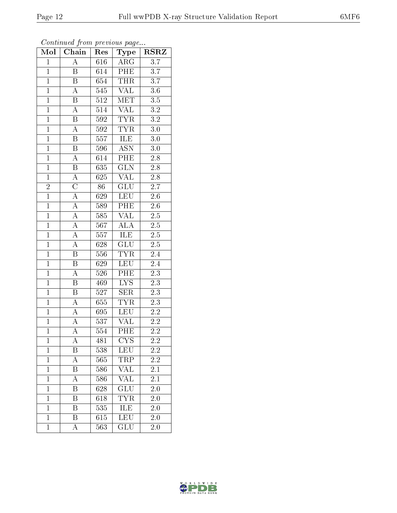| Mol            | Chain                   | Res              | Type                    | <b>RSRZ</b>      |
|----------------|-------------------------|------------------|-------------------------|------------------|
| $\mathbf 1$    | A                       | 616              | $\overline{\text{ARG}}$ | 3.7              |
| $\mathbf 1$    | Β                       | 614              | PHE                     | $\overline{3}.7$ |
| $\overline{1}$ | $\overline{\mathrm{B}}$ | 654              | <b>THR</b>              | 3.7              |
| $\overline{1}$ | A                       | 545              | <b>VAL</b>              | $3.6\,$          |
| $\overline{1}$ | $\overline{\mathrm{B}}$ | $512\,$          | <b>MET</b>              | $\overline{3.5}$ |
| $\mathbf{1}$   | A                       | 514              | <b>VAL</b>              | 3.2              |
| $\mathbf{1}$   | $\overline{\mathrm{B}}$ | 592              | <b>TYR</b>              | $\overline{3.2}$ |
| $\overline{1}$ | $\overline{\rm A}$      | 592              | <b>TYR</b>              | 3.0              |
| $\overline{1}$ | $\, {\bf B}$            | 557              | ILE                     | 3.0              |
| $\overline{1}$ | $\overline{\mathrm{B}}$ | 596              | <b>ASN</b>              | 3.0              |
| $\mathbf{1}$   | $\rm A$                 | 614              | $\overline{\text{PHE}}$ | $2.8\,$          |
| $\overline{1}$ | $\overline{\mathrm{B}}$ | $\overline{635}$ | $\overline{\text{GLN}}$ | $2.\overline{8}$ |
| $\overline{1}$ | $\overline{A}$          | 625              | <b>VAL</b>              | $\overline{2.8}$ |
| $\overline{2}$ | $\overline{\rm C}$      | 86               | GLU                     | $2.\overline{7}$ |
| $\overline{1}$ | $\overline{A}$          | 629              | LEU                     | $\overline{2.6}$ |
| $\mathbf{1}$   | $\overline{A}$          | 589              | PHE                     | $2.6\,$          |
| $\overline{1}$ | $\overline{A}$          | 585              | <b>VAL</b>              | $\overline{2.5}$ |
| $\overline{1}$ | $\overline{\rm A}$      | 567              | <b>ALA</b>              | $2.\overline{5}$ |
| $\overline{1}$ | A                       | 557              | ILE                     | $2.5\,$          |
| $\overline{1}$ | $\overline{A}$          | 628              | GLU                     | $\overline{2.5}$ |
| $\overline{1}$ | $\, {\bf B}$            | 556              | <b>TYR</b>              | 2.4              |
| $\overline{1}$ | $\overline{\mathrm{B}}$ | 629              | <b>LEU</b>              | 2.4              |
| $\overline{1}$ | A                       | 526              | PHE                     | 2.3              |
| $\overline{1}$ | $\overline{\mathrm{B}}$ | 469              | $\overline{\text{LYS}}$ | $2\overline{.3}$ |
| $\overline{1}$ | $\overline{\mathbf{B}}$ | 527              | <b>SER</b>              | 2.3              |
| $\mathbf{1}$   | A                       | 655              | <b>TYR</b>              | 2.3              |
| $\mathbf{1}$   | A                       | 695              | <b>LEU</b>              | 2.2              |
| $\overline{1}$ | $\overline{\rm A}$      | 537              | <b>VAL</b>              | 2.2              |
| $\overline{1}$ | $\overline{\rm A}$      | 554              | PHE                     | $\overline{2.2}$ |
| $\mathbf{1}$   | А                       | 481              | <b>CYS</b>              | $2.2\,$          |
| $\mathbf 1$    | Β                       | 538              | LEU                     | 2.2              |
| $\mathbf{1}$   | $\overline{\rm A}$      | 565              | TRP                     | $\overline{2.2}$ |
| $\mathbf 1$    | Β                       | 586              | VAL                     | 2.1              |
| $\overline{1}$ | A                       | 586              | $\overline{\text{VAL}}$ | $\overline{2.1}$ |
| $\mathbf 1$    | Β                       | 628              | GLU                     | 2.0              |
| $\mathbf 1$    | B                       | 618              | TYR                     | $\overline{2.0}$ |
| $\mathbf 1$    | Β                       | 535              | ILE                     | 2.0              |
| $\overline{1}$ | Β                       | 615              | LEU                     | 2.0              |
| $\mathbf{1}$   | А                       | 563              | GLU                     | <b>2.0</b>       |

Continued from previous page...